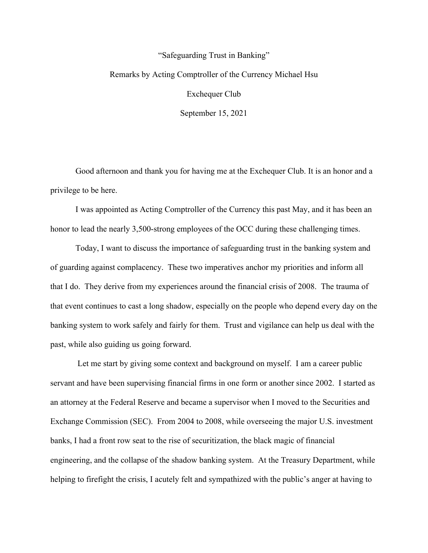# "Safeguarding Trust in Banking" Remarks by Acting Comptroller of the Currency Michael Hsu Exchequer Club September 15, 2021

Good afternoon and thank you for having me at the Exchequer Club. It is an honor and a privilege to be here.

I was appointed as Acting Comptroller of the Currency this past May, and it has been an honor to lead the nearly 3,500-strong employees of the OCC during these challenging times.

Today, I want to discuss the importance of safeguarding trust in the banking system and of guarding against complacency. These two imperatives anchor my priorities and inform all that I do. They derive from my experiences around the financial crisis of 2008. The trauma of that event continues to cast a long shadow, especially on the people who depend every day on the banking system to work safely and fairly for them. Trust and vigilance can help us deal with the past, while also guiding us going forward.

Let me start by giving some context and background on myself. I am a career public servant and have been supervising financial firms in one form or another since 2002. I started as an attorney at the Federal Reserve and became a supervisor when I moved to the Securities and Exchange Commission (SEC). From 2004 to 2008, while overseeing the major U.S. investment banks, I had a front row seat to the rise of securitization, the black magic of financial engineering, and the collapse of the shadow banking system. At the Treasury Department, while helping to firefight the crisis, I acutely felt and sympathized with the public's anger at having to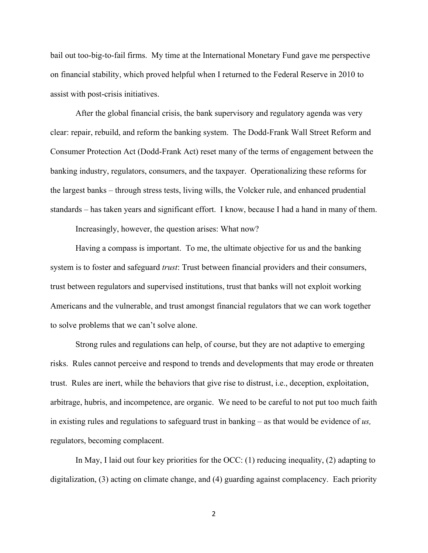bail out too-big-to-fail firms. My time at the International Monetary Fund gave me perspective on financial stability, which proved helpful when I returned to the Federal Reserve in 2010 to assist with post-crisis initiatives.

After the global financial crisis, the bank supervisory and regulatory agenda was very clear: repair, rebuild, and reform the banking system. The Dodd-Frank Wall Street Reform and Consumer Protection Act (Dodd-Frank Act) reset many of the terms of engagement between the banking industry, regulators, consumers, and the taxpayer. Operationalizing these reforms for the largest banks – through stress tests, living wills, the Volcker rule, and enhanced prudential standards – has taken years and significant effort. I know, because I had a hand in many of them.

Increasingly, however, the question arises: What now?

Having a compass is important. To me, the ultimate objective for us and the banking system is to foster and safeguard *trust*: Trust between financial providers and their consumers, trust between regulators and supervised institutions, trust that banks will not exploit working Americans and the vulnerable, and trust amongst financial regulators that we can work together to solve problems that we can't solve alone.

Strong rules and regulations can help, of course, but they are not adaptive to emerging risks. Rules cannot perceive and respond to trends and developments that may erode or threaten trust. Rules are inert, while the behaviors that give rise to distrust, i.e., deception, exploitation, arbitrage, hubris, and incompetence, are organic. We need to be careful to not put too much faith in existing rules and regulations to safeguard trust in banking – as that would be evidence of *us,*  regulators, becoming complacent.

In May, I laid out four key priorities for the OCC: (1) reducing inequality, (2) adapting to digitalization, (3) acting on climate change, and (4) guarding against complacency. Each priority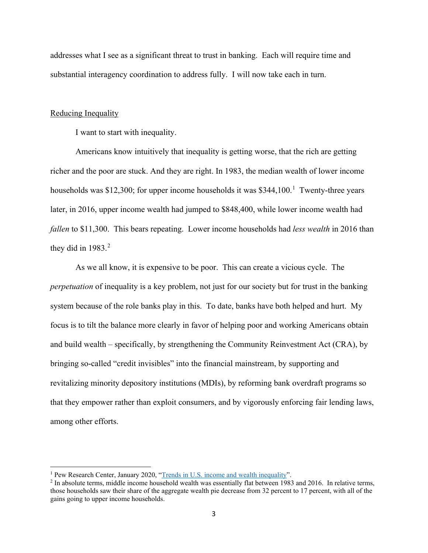addresses what I see as a significant threat to trust in banking. Each will require time and substantial interagency coordination to address fully. I will now take each in turn.

#### Reducing Inequality

I want to start with inequality.

Americans know intuitively that inequality is getting worse, that the rich are getting richer and the poor are stuck. And they are right. In 1983, the median wealth of lower income households was \$[1](#page-2-0)2,300; for upper income households it was \$344,100.<sup>1</sup> Twenty-three years later, in 2016, upper income wealth had jumped to \$848,400, while lower income wealth had *fallen* to \$11,300. This bears repeating. Lower income households had *less wealth* in 2016 than they did in  $1983.<sup>2</sup>$  $1983.<sup>2</sup>$  $1983.<sup>2</sup>$ 

As we all know, it is expensive to be poor. This can create a vicious cycle. The *perpetuation* of inequality is a key problem, not just for our society but for trust in the banking system because of the role banks play in this. To date, banks have both helped and hurt. My focus is to tilt the balance more clearly in favor of helping poor and working Americans obtain and build wealth – specifically, by strengthening the Community Reinvestment Act (CRA), by bringing so-called "credit invisibles" into the financial mainstream, by supporting and revitalizing minority depository institutions (MDIs), by reforming bank overdraft programs so that they empower rather than exploit consumers, and by vigorously enforcing fair lending laws, among other efforts.

<span id="page-2-1"></span>

<span id="page-2-0"></span><sup>&</sup>lt;sup>1</sup> Pew Research Center, January 2020, ["Trends in U.S. income and wealth inequality"](https://www.pewresearch.org/social-trends/2020/01/09/trends-in-income-and-wealth-inequality/).<br><sup>2</sup> In absolute terms, middle income household wealth was essentially flat between 1983 and 2016. In relative terms, those households saw their share of the aggregate wealth pie decrease from 32 percent to 17 percent, with all of the gains going to upper income households.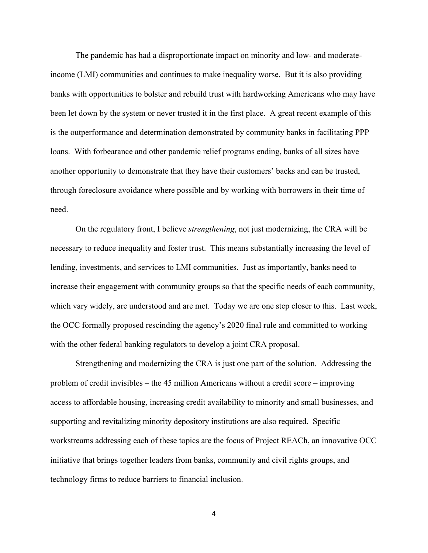The pandemic has had a disproportionate impact on minority and low- and moderateincome (LMI) communities and continues to make inequality worse. But it is also providing banks with opportunities to bolster and rebuild trust with hardworking Americans who may have been let down by the system or never trusted it in the first place. A great recent example of this is the outperformance and determination demonstrated by community banks in facilitating PPP loans. With forbearance and other pandemic relief programs ending, banks of all sizes have another opportunity to demonstrate that they have their customers' backs and can be trusted, through foreclosure avoidance where possible and by working with borrowers in their time of need.

On the regulatory front, I believe *strengthening*, not just modernizing, the CRA will be necessary to reduce inequality and foster trust. This means substantially increasing the level of lending, investments, and services to LMI communities. Just as importantly, banks need to increase their engagement with community groups so that the specific needs of each community, which vary widely, are understood and are met. Today we are one step closer to this. Last week, the OCC formally proposed rescinding the agency's 2020 final rule and committed to working with the other federal banking regulators to develop a joint CRA proposal.

Strengthening and modernizing the CRA is just one part of the solution. Addressing the problem of credit invisibles – the 45 million Americans without a credit score – improving access to affordable housing, increasing credit availability to minority and small businesses, and supporting and revitalizing minority depository institutions are also required. Specific workstreams addressing each of these topics are the focus of Project REACh, an innovative OCC initiative that brings together leaders from banks, community and civil rights groups, and technology firms to reduce barriers to financial inclusion.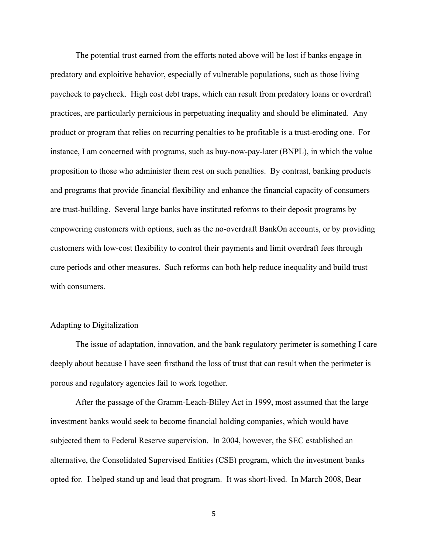The potential trust earned from the efforts noted above will be lost if banks engage in predatory and exploitive behavior, especially of vulnerable populations, such as those living paycheck to paycheck. High cost debt traps, which can result from predatory loans or overdraft practices, are particularly pernicious in perpetuating inequality and should be eliminated. Any product or program that relies on recurring penalties to be profitable is a trust-eroding one. For instance, I am concerned with programs, such as buy-now-pay-later (BNPL), in which the value proposition to those who administer them rest on such penalties. By contrast, banking products and programs that provide financial flexibility and enhance the financial capacity of consumers are trust-building. Several large banks have instituted reforms to their deposit programs by empowering customers with options, such as the no-overdraft BankOn accounts, or by providing customers with low-cost flexibility to control their payments and limit overdraft fees through cure periods and other measures. Such reforms can both help reduce inequality and build trust with consumers.

## Adapting to Digitalization

The issue of adaptation, innovation, and the bank regulatory perimeter is something I care deeply about because I have seen firsthand the loss of trust that can result when the perimeter is porous and regulatory agencies fail to work together.

After the passage of the Gramm-Leach-Bliley Act in 1999, most assumed that the large investment banks would seek to become financial holding companies, which would have subjected them to Federal Reserve supervision. In 2004, however, the SEC established an alternative, the Consolidated Supervised Entities (CSE) program, which the investment banks opted for. I helped stand up and lead that program. It was short-lived. In March 2008, Bear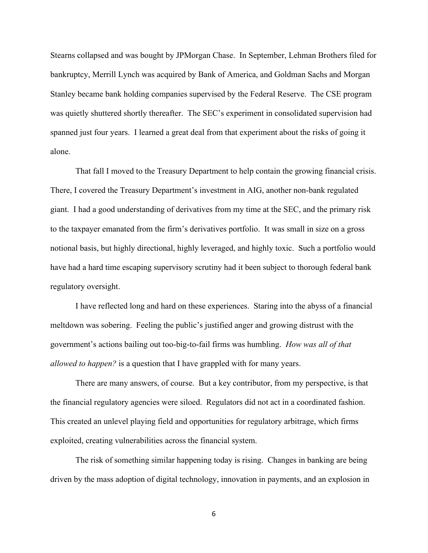Stearns collapsed and was bought by JPMorgan Chase. In September, Lehman Brothers filed for bankruptcy, Merrill Lynch was acquired by Bank of America, and Goldman Sachs and Morgan Stanley became bank holding companies supervised by the Federal Reserve. The CSE program was quietly shuttered shortly thereafter. The SEC's experiment in consolidated supervision had spanned just four years. I learned a great deal from that experiment about the risks of going it alone.

That fall I moved to the Treasury Department to help contain the growing financial crisis. There, I covered the Treasury Department's investment in AIG, another non-bank regulated giant. I had a good understanding of derivatives from my time at the SEC, and the primary risk to the taxpayer emanated from the firm's derivatives portfolio. It was small in size on a gross notional basis, but highly directional, highly leveraged, and highly toxic. Such a portfolio would have had a hard time escaping supervisory scrutiny had it been subject to thorough federal bank regulatory oversight.

I have reflected long and hard on these experiences. Staring into the abyss of a financial meltdown was sobering. Feeling the public's justified anger and growing distrust with the government's actions bailing out too-big-to-fail firms was humbling. *How was all of that allowed to happen?* is a question that I have grappled with for many years.

There are many answers, of course. But a key contributor, from my perspective, is that the financial regulatory agencies were siloed. Regulators did not act in a coordinated fashion. This created an unlevel playing field and opportunities for regulatory arbitrage, which firms exploited, creating vulnerabilities across the financial system.

The risk of something similar happening today is rising. Changes in banking are being driven by the mass adoption of digital technology, innovation in payments, and an explosion in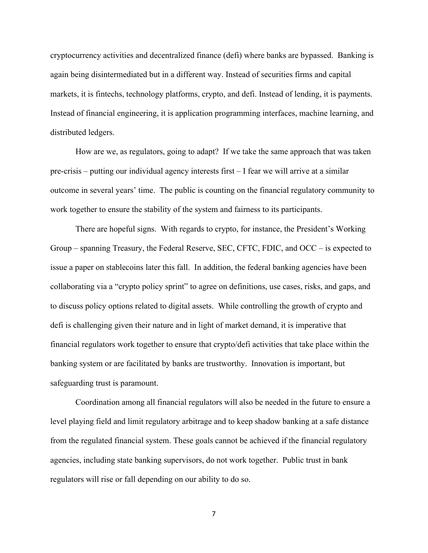cryptocurrency activities and decentralized finance (defi) where banks are bypassed. Banking is again being disintermediated but in a different way. Instead of securities firms and capital markets, it is fintechs, technology platforms, crypto, and defi. Instead of lending, it is payments. Instead of financial engineering, it is application programming interfaces, machine learning, and distributed ledgers.

How are we, as regulators, going to adapt? If we take the same approach that was taken pre-crisis – putting our individual agency interests first – I fear we will arrive at a similar outcome in several years' time. The public is counting on the financial regulatory community to work together to ensure the stability of the system and fairness to its participants.

There are hopeful signs. With regards to crypto, for instance, the President's Working Group – spanning Treasury, the Federal Reserve, SEC, CFTC, FDIC, and OCC – is expected to issue a paper on stablecoins later this fall. In addition, the federal banking agencies have been collaborating via a "crypto policy sprint" to agree on definitions, use cases, risks, and gaps, and to discuss policy options related to digital assets. While controlling the growth of crypto and defi is challenging given their nature and in light of market demand, it is imperative that financial regulators work together to ensure that crypto/defi activities that take place within the banking system or are facilitated by banks are trustworthy. Innovation is important, but safeguarding trust is paramount.

Coordination among all financial regulators will also be needed in the future to ensure a level playing field and limit regulatory arbitrage and to keep shadow banking at a safe distance from the regulated financial system. These goals cannot be achieved if the financial regulatory agencies, including state banking supervisors, do not work together. Public trust in bank regulators will rise or fall depending on our ability to do so.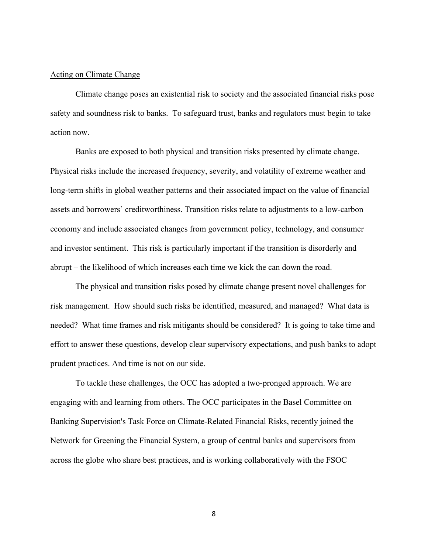## Acting on Climate Change

Climate change poses an existential risk to society and the associated financial risks pose safety and soundness risk to banks. To safeguard trust, banks and regulators must begin to take action now.

Banks are exposed to both physical and transition risks presented by climate change. Physical risks include the increased frequency, severity, and volatility of extreme weather and long-term shifts in global weather patterns and their associated impact on the value of financial assets and borrowers' creditworthiness. Transition risks relate to adjustments to a low-carbon economy and include associated changes from government policy, technology, and consumer and investor sentiment. This risk is particularly important if the transition is disorderly and abrupt – the likelihood of which increases each time we kick the can down the road.

The physical and transition risks posed by climate change present novel challenges for risk management. How should such risks be identified, measured, and managed? What data is needed? What time frames and risk mitigants should be considered? It is going to take time and effort to answer these questions, develop clear supervisory expectations, and push banks to adopt prudent practices. And time is not on our side.

To tackle these challenges, the OCC has adopted a two-pronged approach. We are engaging with and learning from others. The OCC participates in the Basel Committee on Banking Supervision's Task Force on Climate-Related Financial Risks, recently joined the Network for Greening the Financial System, a group of central banks and supervisors from across the globe who share best practices, and is working collaboratively with the FSOC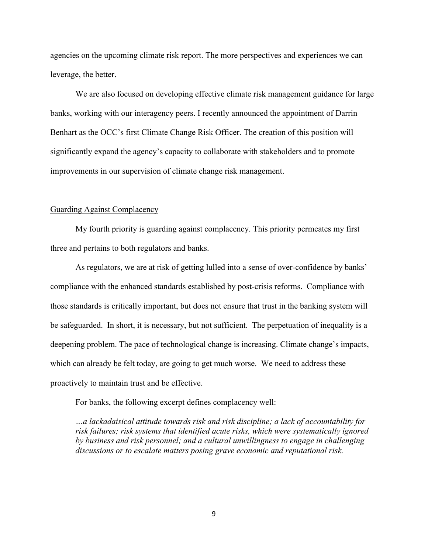agencies on the upcoming climate risk report. The more perspectives and experiences we can leverage, the better.

We are also focused on developing effective climate risk management guidance for large banks, working with our interagency peers. I recently announced the appointment of Darrin Benhart as the OCC's first Climate Change Risk Officer. The creation of this position will significantly expand the agency's capacity to collaborate with stakeholders and to promote improvements in our supervision of climate change risk management.

## Guarding Against Complacency

My fourth priority is guarding against complacency. This priority permeates my first three and pertains to both regulators and banks.

As regulators, we are at risk of getting lulled into a sense of over-confidence by banks' compliance with the enhanced standards established by post-crisis reforms. Compliance with those standards is critically important, but does not ensure that trust in the banking system will be safeguarded. In short, it is necessary, but not sufficient. The perpetuation of inequality is a deepening problem. The pace of technological change is increasing. Climate change's impacts, which can already be felt today, are going to get much worse. We need to address these proactively to maintain trust and be effective.

For banks, the following excerpt defines complacency well:

*…a lackadaisical attitude towards risk and risk discipline; a lack of accountability for risk failures; risk systems that identified acute risks, which were systematically ignored by business and risk personnel; and a cultural unwillingness to engage in challenging discussions or to escalate matters posing grave economic and reputational risk.*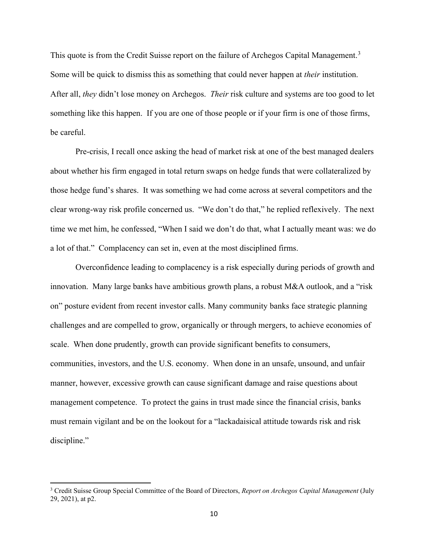This quote is from the Credit Suisse report on the failure of Archegos Capital Management.<sup>[3](#page-9-0)</sup> Some will be quick to dismiss this as something that could never happen at *their* institution. After all, *they* didn't lose money on Archegos. *Their* risk culture and systems are too good to let something like this happen. If you are one of those people or if your firm is one of those firms, be careful.

Pre-crisis, I recall once asking the head of market risk at one of the best managed dealers about whether his firm engaged in total return swaps on hedge funds that were collateralized by those hedge fund's shares. It was something we had come across at several competitors and the clear wrong-way risk profile concerned us. "We don't do that," he replied reflexively. The next time we met him, he confessed, "When I said we don't do that, what I actually meant was: we do a lot of that." Complacency can set in, even at the most disciplined firms.

Overconfidence leading to complacency is a risk especially during periods of growth and innovation. Many large banks have ambitious growth plans, a robust M&A outlook, and a "risk on" posture evident from recent investor calls. Many community banks face strategic planning challenges and are compelled to grow, organically or through mergers, to achieve economies of scale. When done prudently, growth can provide significant benefits to consumers, communities, investors, and the U.S. economy. When done in an unsafe, unsound, and unfair manner, however, excessive growth can cause significant damage and raise questions about management competence. To protect the gains in trust made since the financial crisis, banks must remain vigilant and be on the lookout for a "lackadaisical attitude towards risk and risk discipline."

<span id="page-9-0"></span><sup>3</sup> Credit Suisse Group Special Committee of the Board of Directors, *Report on Archegos Capital Management* (July 29, 2021), at p2.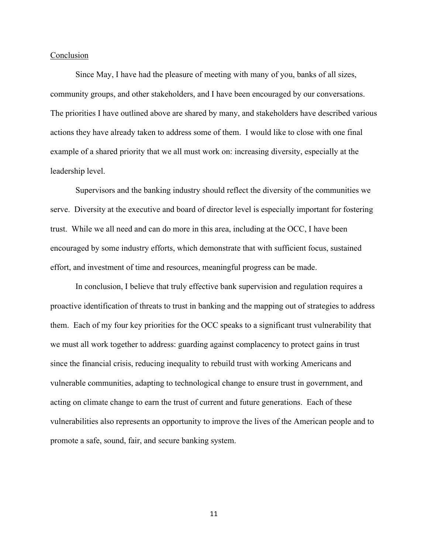## Conclusion

Since May, I have had the pleasure of meeting with many of you, banks of all sizes, community groups, and other stakeholders, and I have been encouraged by our conversations. The priorities I have outlined above are shared by many, and stakeholders have described various actions they have already taken to address some of them. I would like to close with one final example of a shared priority that we all must work on: increasing diversity, especially at the leadership level.

Supervisors and the banking industry should reflect the diversity of the communities we serve. Diversity at the executive and board of director level is especially important for fostering trust. While we all need and can do more in this area, including at the OCC, I have been encouraged by some industry efforts, which demonstrate that with sufficient focus, sustained effort, and investment of time and resources, meaningful progress can be made.

In conclusion, I believe that truly effective bank supervision and regulation requires a proactive identification of threats to trust in banking and the mapping out of strategies to address them. Each of my four key priorities for the OCC speaks to a significant trust vulnerability that we must all work together to address: guarding against complacency to protect gains in trust since the financial crisis, reducing inequality to rebuild trust with working Americans and vulnerable communities, adapting to technological change to ensure trust in government, and acting on climate change to earn the trust of current and future generations. Each of these vulnerabilities also represents an opportunity to improve the lives of the American people and to promote a safe, sound, fair, and secure banking system.